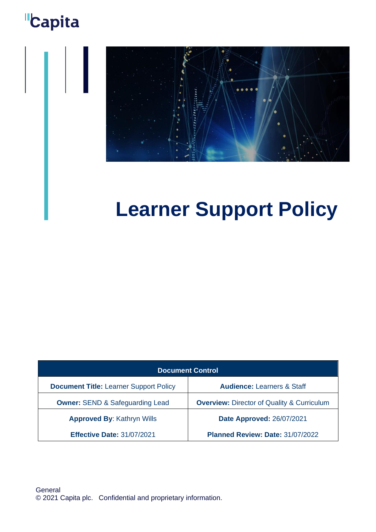## **"Capita**



# **Learner Support Policy**

| <b>Document Control</b>                       |                                                       |  |  |
|-----------------------------------------------|-------------------------------------------------------|--|--|
| <b>Document Title: Learner Support Policy</b> | <b>Audience: Learners &amp; Staff</b>                 |  |  |
| <b>Owner: SEND &amp; Safeguarding Lead</b>    | <b>Overview: Director of Quality &amp; Curriculum</b> |  |  |
| <b>Approved By: Kathryn Wills</b>             | <b>Date Approved: 26/07/2021</b>                      |  |  |
| <b>Effective Date: 31/07/2021</b>             | Planned Review: Date: 31/07/2022                      |  |  |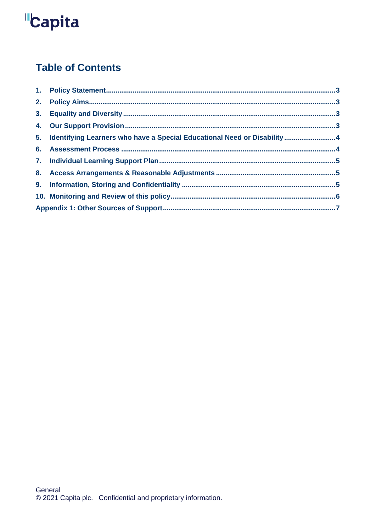# **"Capita**

### **Table of Contents**

| 5. Identifying Learners who have a Special Educational Need or Disability  4 |  |
|------------------------------------------------------------------------------|--|
|                                                                              |  |
|                                                                              |  |
|                                                                              |  |
|                                                                              |  |
|                                                                              |  |
|                                                                              |  |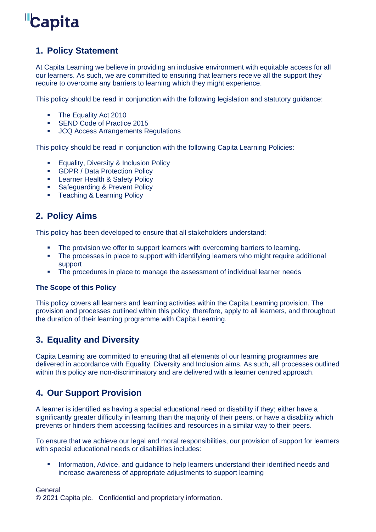

### **1. Policy Statement**

At Capita Learning we believe in providing an inclusive environment with equitable access for all our learners. As such, we are committed to ensuring that learners receive all the support they require to overcome any barriers to learning which they might experience.

This policy should be read in conjunction with the following legislation and statutory guidance:

- **The Equality Act 2010**
- SEND Code of Practice 2015
- JCQ Access Arrangements Regulations

This policy should be read in conjunction with the following Capita Learning Policies:

- **Equality, Diversity & Inclusion Policy**
- GDPR / Data Protection Policy
- **E.** Learner Health & Safety Policy
- **Safeguarding & Prevent Policy**
- **Teaching & Learning Policy**

### **2. Policy Aims**

This policy has been developed to ensure that all stakeholders understand:

- The provision we offer to support learners with overcoming barriers to learning.
- The processes in place to support with identifying learners who might require additional support
- **•** The procedures in place to manage the assessment of individual learner needs

#### **The Scope of this Policy**

This policy covers all learners and learning activities within the Capita Learning provision. The provision and processes outlined within this policy, therefore, apply to all learners, and throughout the duration of their learning programme with Capita Learning.

### **3. Equality and Diversity**

Capita Learning are committed to ensuring that all elements of our learning programmes are delivered in accordance with Equality, Diversity and Inclusion aims. As such, all processes outlined within this policy are non-discriminatory and are delivered with a learner centred approach.

### **4. Our Support Provision**

A learner is identified as having a special educational need or disability if they; either have a significantly greater difficulty in learning than the majority of their peers, or have a disability which prevents or hinders them accessing facilities and resources in a similar way to their peers.

To ensure that we achieve our legal and moral responsibilities, our provision of support for learners with special educational needs or disabilities includes:

**EXED** Information, Advice, and guidance to help learners understand their identified needs and increase awareness of appropriate adjustments to support learning

#### General

© 2021 Capita plc. Confidential and proprietary information.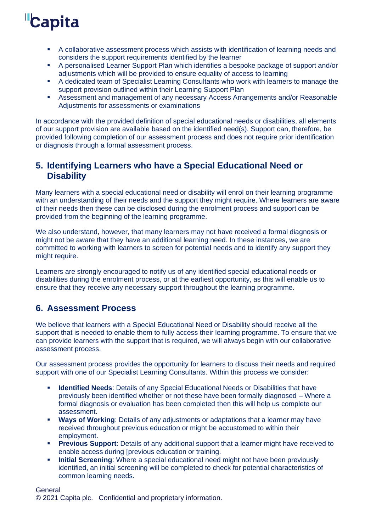## **Capita**

- A collaborative assessment process which assists with identification of learning needs and considers the support requirements identified by the learner
- A personalised Learner Support Plan which identifies a bespoke package of support and/or adjustments which will be provided to ensure equality of access to learning
- A dedicated team of Specialist Learning Consultants who work with learners to manage the support provision outlined within their Learning Support Plan
- **EXEL Assessment and management of any necessary Access Arrangements and/or Reasonable** Adjustments for assessments or examinations

In accordance with the provided definition of special educational needs or disabilities, all elements of our support provision are available based on the identified need(s). Support can, therefore, be provided following completion of our assessment process and does not require prior identification or diagnosis through a formal assessment process.

### **5. Identifying Learners who have a Special Educational Need or Disability**

Many learners with a special educational need or disability will enrol on their learning programme with an understanding of their needs and the support they might require. Where learners are aware of their needs then these can be disclosed during the enrolment process and support can be provided from the beginning of the learning programme.

We also understand, however, that many learners may not have received a formal diagnosis or might not be aware that they have an additional learning need. In these instances, we are committed to working with learners to screen for potential needs and to identify any support they might require.

Learners are strongly encouraged to notify us of any identified special educational needs or disabilities during the enrolment process, or at the earliest opportunity, as this will enable us to ensure that they receive any necessary support throughout the learning programme.

### **6. Assessment Process**

We believe that learners with a Special Educational Need or Disability should receive all the support that is needed to enable them to fully access their learning programme. To ensure that we can provide learners with the support that is required, we will always begin with our collaborative assessment process.

Our assessment process provides the opportunity for learners to discuss their needs and required support with one of our Specialist Learning Consultants. Within this process we consider:

- **EXEDENTIFIED IDEALS:** Details of any Special Educational Needs or Disabilities that have previously been identified whether or not these have been formally diagnosed – Where a formal diagnosis or evaluation has been completed then this will help us complete our assessment.
- **Ways of Working**: Details of any adjustments or adaptations that a learner may have received throughout previous education or might be accustomed to within their employment.
- **Previous Support:** Details of any additional support that a learner might have received to enable access during [previous education or training.
- **EXEDENTIFY Initial Screening:** Where a special educational need might not have been previously identified, an initial screening will be completed to check for potential characteristics of common learning needs.

**General** 

© 2021 Capita plc. Confidential and proprietary information.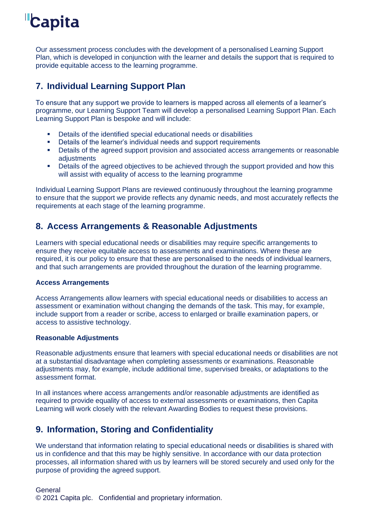## **Capita**

Our assessment process concludes with the development of a personalised Learning Support Plan, which is developed in conjunction with the learner and details the support that is required to provide equitable access to the learning programme.

### **7. Individual Learning Support Plan**

To ensure that any support we provide to learners is mapped across all elements of a learner's programme, our Learning Support Team will develop a personalised Learning Support Plan. Each Learning Support Plan is bespoke and will include:

- Details of the identified special educational needs or disabilities
- Details of the learner's individual needs and support requirements<br>■ Details of the agreed support provision and associated access arra
- Details of the agreed support provision and associated access arrangements or reasonable adjustments
- Details of the agreed objectives to be achieved through the support provided and how this will assist with equality of access to the learning programme

Individual Learning Support Plans are reviewed continuously throughout the learning programme to ensure that the support we provide reflects any dynamic needs, and most accurately reflects the requirements at each stage of the learning programme.

### **8. Access Arrangements & Reasonable Adjustments**

Learners with special educational needs or disabilities may require specific arrangements to ensure they receive equitable access to assessments and examinations. Where these are required, it is our policy to ensure that these are personalised to the needs of individual learners, and that such arrangements are provided throughout the duration of the learning programme.

#### **Access Arrangements**

Access Arrangements allow learners with special educational needs or disabilities to access an assessment or examination without changing the demands of the task. This may, for example, include support from a reader or scribe, access to enlarged or braille examination papers, or access to assistive technology.

#### **Reasonable Adjustments**

Reasonable adjustments ensure that learners with special educational needs or disabilities are not at a substantial disadvantage when completing assessments or examinations. Reasonable adjustments may, for example, include additional time, supervised breaks, or adaptations to the assessment format.

In all instances where access arrangements and/or reasonable adjustments are identified as required to provide equality of access to external assessments or examinations, then Capita Learning will work closely with the relevant Awarding Bodies to request these provisions.

### **9. Information, Storing and Confidentiality**

We understand that information relating to special educational needs or disabilities is shared with us in confidence and that this may be highly sensitive. In accordance with our data protection processes, all information shared with us by learners will be stored securely and used only for the purpose of providing the agreed support.

#### **General**

© 2021 Capita plc. Confidential and proprietary information.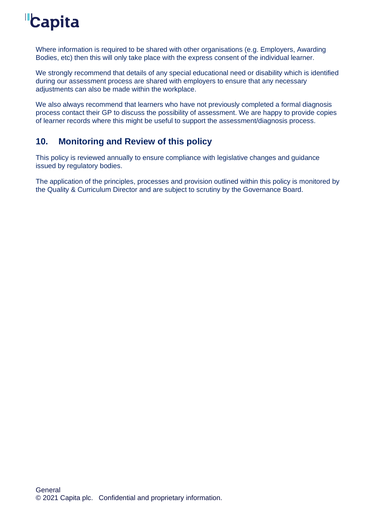## **Capita**

Where information is required to be shared with other organisations (e.g. Employers, Awarding Bodies, etc) then this will only take place with the express consent of the individual learner.

We strongly recommend that details of any special educational need or disability which is identified during our assessment process are shared with employers to ensure that any necessary adjustments can also be made within the workplace.

We also always recommend that learners who have not previously completed a formal diagnosis process contact their GP to discuss the possibility of assessment. We are happy to provide copies of learner records where this might be useful to support the assessment/diagnosis process.

### **10. Monitoring and Review of this policy**

This policy is reviewed annually to ensure compliance with legislative changes and guidance issued by regulatory bodies.

The application of the principles, processes and provision outlined within this policy is monitored by the Quality & Curriculum Director and are subject to scrutiny by the Governance Board.